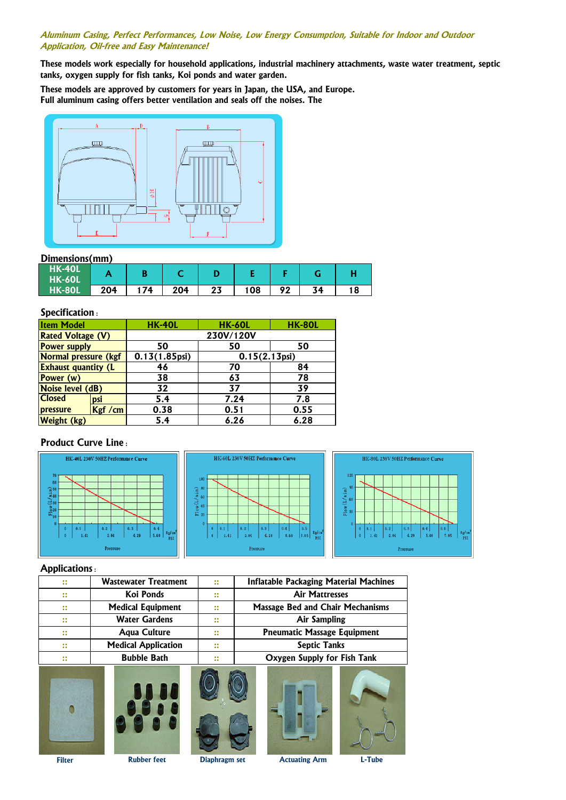#### **Aluminum Casing, Perfect Performances, Low Noise, Low Energy Consumption, Suitable for Indoor and Outdoor Application, Oil-free and Easy Maintenance!**

**These models work especially for household applications, industrial machinery attachments, waste water treatment, septic tanks, oxygen supply for fish tanks, Koi ponds and water garden.**

**These models are approved by customers for years in Japan, the USA, and Europe. Full aluminum casing offers better ventilation and seals off the noises. The**



## **Dimensions(mm)**

| HK-40L<br>HK-60L |     |    |     |          |     |    |    |  |
|------------------|-----|----|-----|----------|-----|----|----|--|
| HK-80L           | 204 | 74 | 204 | 27<br>LJ | 108 | ໐າ | 74 |  |

## **Specification :**

| <b>Item Model</b>          |         | <b>HK-40L</b>          | <b>HK-60L</b>          | <b>HK-80L</b> |  |  |
|----------------------------|---------|------------------------|------------------------|---------------|--|--|
| <b>Rated Voltage (V)</b>   |         | 230V/120V              |                        |               |  |  |
| <b>Power supply</b>        |         | 50                     | 50                     | 50            |  |  |
| Normal pressure (kgf       |         | $0.13(1.85\text{psi})$ | $0.15(2.13\text{psi})$ |               |  |  |
| <b>Exhaust quantity (L</b> |         | 46                     | 70                     | 84            |  |  |
| Power (w)                  |         | 38                     | 63                     | 78            |  |  |
| Noise level (dB)           |         | 32                     | 37                     | 39            |  |  |
| <b>Closed</b>              | psi     | 5.4                    | 7.24                   | 7.8           |  |  |
| pressure                   | Kgf /cm | 0.38                   | 0.51                   | 0.55          |  |  |
| <b>Weight (kg)</b>         |         | 5.4                    | 6.26                   | 6.28          |  |  |

## **Product Curve Line :**



### **Applications :**

| $\bullet\bullet$<br>$\ddot{\bullet}$     | <b>Wastewater Treatment</b> | $\bullet$<br>$\bullet$ | <b>Inflatable Packaging Material Machines</b> |  |  |
|------------------------------------------|-----------------------------|------------------------|-----------------------------------------------|--|--|
| $\bullet\bullet$<br>$\bullet$            | Koi Ponds                   | $\bullet$<br>$\bullet$ | <b>Air Mattresses</b>                         |  |  |
| $\bullet\bullet$<br>$\bullet$            | <b>Medical Equipment</b>    | $\bullet$<br>$\bullet$ | <b>Massage Bed and Chair Mechanisms</b>       |  |  |
| $\bullet\bullet$<br>$\bullet$            | <b>Water Gardens</b>        | $\bullet$<br>$\bullet$ | <b>Air Sampling</b>                           |  |  |
| $\bullet\bullet$<br>$\bullet$            | <b>Agua Culture</b>         | $\bullet$<br>$\bullet$ | <b>Pneumatic Massage Equipment</b>            |  |  |
| $\bullet\bullet$<br>$\bullet$            | <b>Medical Application</b>  | $\bullet$<br>$\bullet$ | <b>Septic Tanks</b>                           |  |  |
| $\bullet\bullet$<br>$\ddot{\phantom{0}}$ | <b>Bubble Bath</b>          | $\bullet$<br>$\bullet$ | Oxygen Supply for Fish Tank                   |  |  |
|                                          |                             |                        |                                               |  |  |

**Filter Rubber feet Diaphragm set Actuating Arm L-Tube**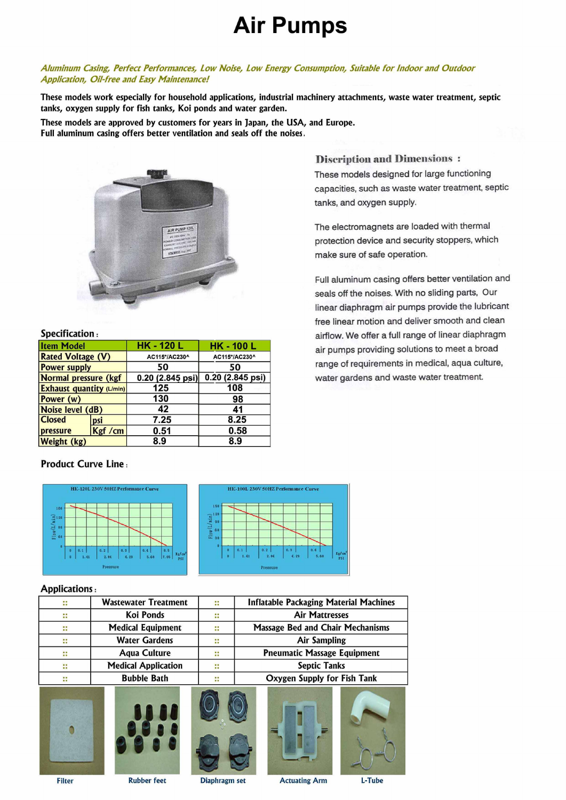# **Air Pumps**

## Aluminum Casing, Perfect Performances, Low Noise, Low Energy Consumption, Suitable for Indoor and Outdoor **Application, Oil-free and Easy Maintenance!**

These models work especially for household applications, industrial machinery attachments, waste water treatment, septic tanks, oxygen supply for fish tanks, Koi ponds and water garden.

These models are approved by customers for years in Japan, the USA, and Europe. Full aluminum casing offers better ventilation and seals off the noises.



### Specification:

| <b>Item Model</b>           |         | <b>HK - 120 L</b>  | <b>HK-100L</b>     |  |  |
|-----------------------------|---------|--------------------|--------------------|--|--|
| <b>Rated Voltage (V)</b>    |         | AC115*/AC230^      | AC115*/AC230^      |  |  |
| <b>Power supply</b>         |         | 50                 | 50                 |  |  |
| <b>Normal pressure (kgf</b> |         | $0.20$ (2.845 psi) | $0.20$ (2.845 psi) |  |  |
| Exhaust quantity (L/min)    |         | 125                | 108                |  |  |
| Power (w)                   |         | 130                | 98                 |  |  |
| Noise level (dB)            |         | 42                 | 41                 |  |  |
| <b>Closed</b><br>psi        |         | 7.25               | 8.25               |  |  |
| pressure                    | Kgf /cm | 0.51               | 0.58               |  |  |
| <b>Weight (kg)</b>          |         | 8.9                | 8.9                |  |  |

## **Product Curve Line:**



### **Applications:**

| ∷                       | <b>Wastewater Treatment</b> | $\ddot{\cdot}$ | <b>Inflatable Packaging Material Machines</b> |  |  |
|-------------------------|-----------------------------|----------------|-----------------------------------------------|--|--|
| ∷                       | Koi Ponds                   | 8              | <b>Air Mattresses</b>                         |  |  |
| ∷                       | <b>Medical Equipment</b>    | 44             | <b>Massage Bed and Chair Mechanisms</b>       |  |  |
| $\dddot{\phantom{0}}$   | <b>Water Gardens</b>        | $\mathbf{::}$  | <b>Air Sampling</b>                           |  |  |
| $\ddot{\phantom{a}}$    | <b>Aqua Culture</b>         | $\mathbb{R}^2$ | <b>Pneumatic Massage Equipment</b>            |  |  |
| $\mathbf{::}$           | <b>Medical Application</b>  | $\mathbf{::}$  | <b>Septic Tanks</b>                           |  |  |
| <b>Bubble Bath</b><br>∷ |                             | ∷              | Oxygen Supply for Fish Tank                   |  |  |
|                         |                             |                |                                               |  |  |



**Filter** 









**Rubber feet** 

Diaphragm set

**Actuating Arm** 

L-Tube

**Discription and Dimensions:** These models designed for large functioning capacities, such as waste water treatment, septic tanks, and oxygen supply.

The electromagnets are loaded with thermal protection device and security stoppers, which make sure of safe operation.

Full aluminum casing offers better ventilation and seals off the noises. With no sliding parts, Our linear diaphragm air pumps provide the lubricant free linear motion and deliver smooth and clean airflow. We offer a full range of linear diaphragm air pumps providing solutions to meet a broad range of requirements in medical, aqua culture, water gardens and waste water treatment.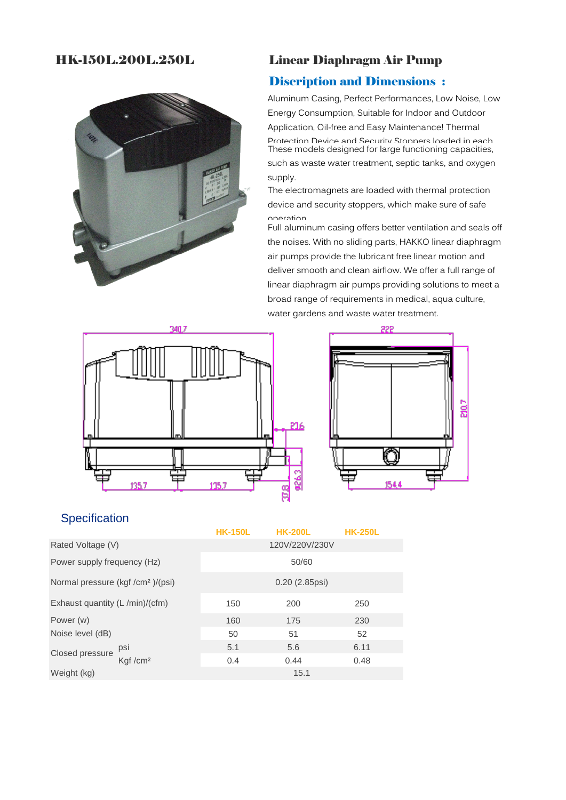# HK-150L.200L.250L



# Linear Diaphragm Air Pump

# Discription and Dimensions :

Aluminum Casing, Perfect Performances, Low Noise, Low Energy Consumption, Suitable for Indoor and Outdoor Application, Oil-free and Easy Maintenance! Thermal Protection Device and Security Stoppers loaded in each These models designed for large functioning capacities, such as waste water treatment, septic tanks, and oxygen supply.

The electromagnets are loaded with thermal protection device and security stoppers, which make sure of safe operation

Full aluminum casing offers better ventilation and seals off the noises. With no sliding parts, HAKKO linear diaphragm air pumps provide the lubricant free linear motion and deliver smooth and clean airflow. We offer a full range of linear diaphragm air pumps providing solutions to meet a broad range of requirements in medical, aqua culture, water gardens and waste water treatment.





# **Specification**

|                                               |                     | <b>HK-150L</b>   | <b>HK-200L</b> | <b>HK-250L</b> |  |  |
|-----------------------------------------------|---------------------|------------------|----------------|----------------|--|--|
| Rated Voltage (V)                             |                     | 120V/220V/230V   |                |                |  |  |
| Power supply frequency (Hz)                   |                     | 50/60            |                |                |  |  |
| Normal pressure (kgf /cm <sup>2</sup> )/(psi) |                     | $0.20$ (2.85psi) |                |                |  |  |
| Exhaust quantity (L/min)/(cfm)                |                     | 150              | 200            | 250            |  |  |
| Power (w)<br>Noise level (dB)                 |                     | 160              | 175            | 230            |  |  |
|                                               |                     | 50               | 51             | 52             |  |  |
| Closed pressure                               | psi                 | 5.1              | 5.6            | 6.11           |  |  |
|                                               | Kaf/cm <sup>2</sup> | 0.4              | 0.44           | 0.48           |  |  |
| Weight (kg)                                   |                     |                  | 15.1           |                |  |  |